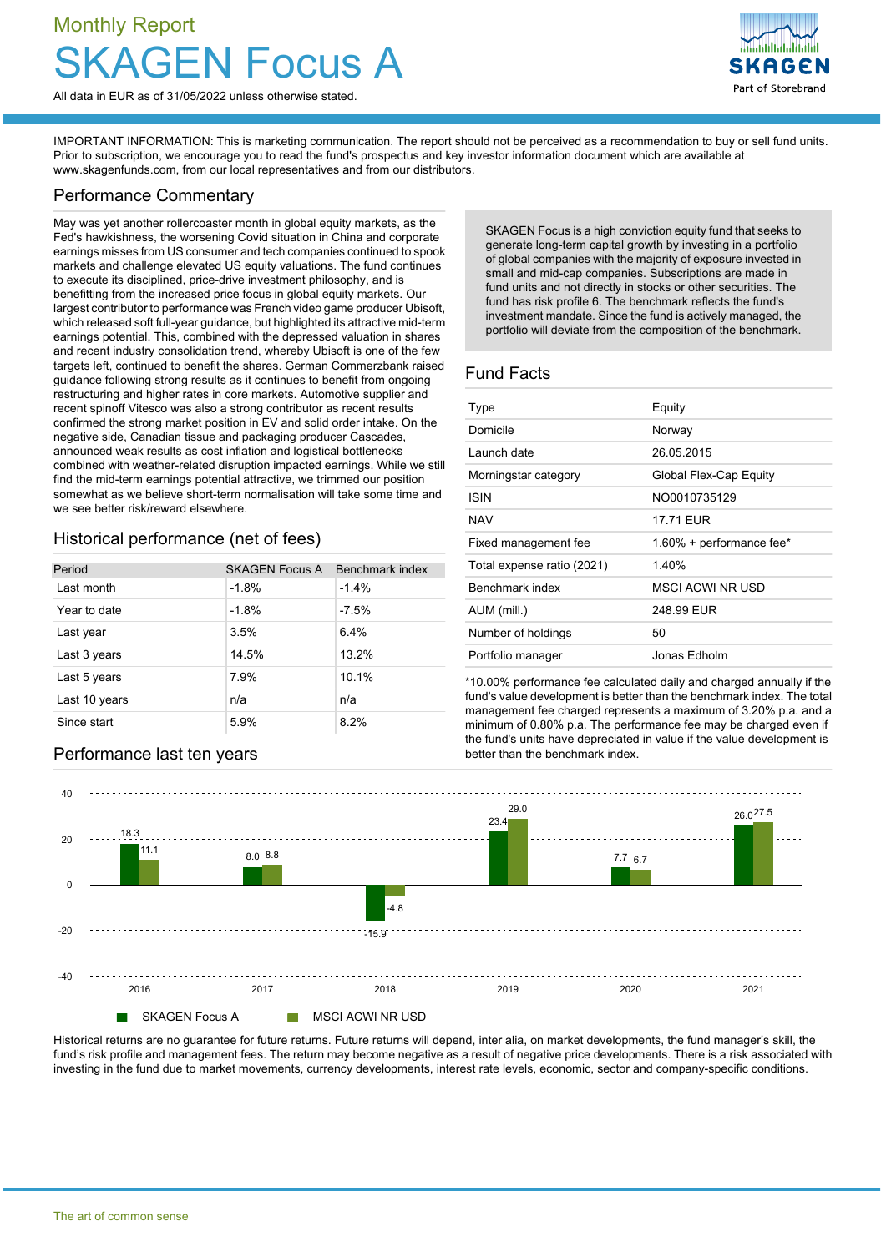# Monthly Report **Focus A**



IMPORTANT INFORMATION: This is marketing communication. The report should not be perceived as a recommendation to buy or sell fund units. Prior to subscription, we encourage you to read the fund's prospectus and key investor information document which are available at [www.skagenfunds.com](http://www.skagenfunds.com), from our local representatives and from our distributors.

### Performance Commentary

May was yet another rollercoaster month in global equity markets, as the Fed's hawkishness, the worsening Covid situation in China and corporate earnings misses from US consumer and tech companies continued to spook markets and challenge elevated US equity valuations. The fund continues to execute its disciplined, price-drive investment philosophy, and is benefitting from the increased price focus in global equity markets. Our largest contributor to performance was French video game producer Ubisoft, which released soft full-year guidance, but highlighted its attractive mid-term earnings potential. This, combined with the depressed valuation in shares and recent industry consolidation trend, whereby Ubisoft is one of the few targets left, continued to benefit the shares. German Commerzbank raised guidance following strong results as it continues to benefit from ongoing restructuring and higher rates in core markets. Automotive supplier and recent spinoff Vitesco was also a strong contributor as recent results confirmed the strong market position in EV and solid order intake. On the negative side, Canadian tissue and packaging producer Cascades, announced weak results as cost inflation and logistical bottlenecks combined with weather-related disruption impacted earnings. While we still find the mid-term earnings potential attractive, we trimmed our position somewhat as we believe short-term normalisation will take some time and we see better risk/reward elsewhere.

## Historical performance (net of fees)

| Period        | <b>SKAGEN Focus A</b> | Benchmark index |
|---------------|-----------------------|-----------------|
| Last month    | $-1.8%$               | $-1.4%$         |
| Year to date  | $-1.8%$               | $-7.5%$         |
| Last year     | 3.5%                  | 6.4%            |
| Last 3 years  | 14.5%                 | 13.2%           |
| Last 5 years  | 7.9%                  | 10.1%           |
| Last 10 years | n/a                   | n/a             |
| Since start   | 5.9%                  | 8.2%            |

**Performance last ten years better than the benchmark index.** 

SKAGEN Focus is a high conviction equity fund that seeks to generate long-term capital growth by investing in a portfolio of global companies with the majority of exposure invested in small and mid-cap companies. Subscriptions are made in fund units and not directly in stocks or other securities. The fund has risk profile 6. The benchmark reflects the fund's investment mandate. Since the fund is actively managed, the portfolio will deviate from the composition of the benchmark.

Part of Storebrand

## Fund Facts

| Type                       | Equity                   |
|----------------------------|--------------------------|
| Domicile                   | Norway                   |
| Launch date                | 26.05.2015               |
| Morningstar category       | Global Flex-Cap Equity   |
| ISIN                       | NO0010735129             |
| <b>NAV</b>                 | 17.71 EUR                |
| Fixed management fee       | 1.60% + performance fee* |
| Total expense ratio (2021) | 140%                     |
| Benchmark index            | <b>MSCI ACWI NR USD</b>  |
| AUM (mill.)                | 248.99 EUR               |
| Number of holdings         | 50                       |
| Portfolio manager          | Jonas Edholm             |

\*10.00% performance fee calculated daily and charged annually if the fund's value development is better than the benchmark index. The total management fee charged represents a maximum of 3.20% p.a. and a minimum of 0.80% p.a. The performance fee may be charged even if the fund's units have depreciated in value if the value development is



Historical returns are no guarantee for future returns. Future returns will depend, inter alia, on market developments, the fund manager's skill, the fund's risk profile and management fees. The return may become negative as a result of negative price developments. There is a risk associated with investing in the fund due to market movements, currency developments, interest rate levels, economic, sector and company-specific conditions.